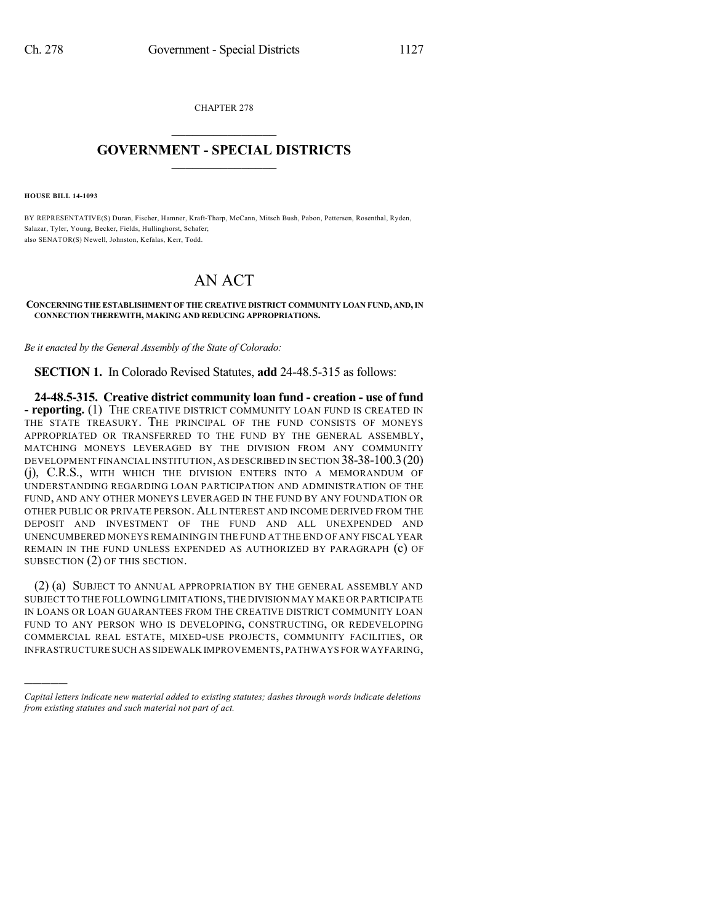CHAPTER 278  $\mathcal{L}_\text{max}$  . The set of the set of the set of the set of the set of the set of the set of the set of the set of the set of the set of the set of the set of the set of the set of the set of the set of the set of the set

## **GOVERNMENT - SPECIAL DISTRICTS**  $\_$   $\_$

**HOUSE BILL 14-1093**

)))))

BY REPRESENTATIVE(S) Duran, Fischer, Hamner, Kraft-Tharp, McCann, Mitsch Bush, Pabon, Pettersen, Rosenthal, Ryden, Salazar, Tyler, Young, Becker, Fields, Hullinghorst, Schafer; also SENATOR(S) Newell, Johnston, Kefalas, Kerr, Todd.

## AN ACT

## **CONCERNING THE ESTABLISHMENT OF THE CREATIVE DISTRICT COMMUNITY LOAN FUND, AND,IN CONNECTION THEREWITH, MAKING AND REDUCING APPROPRIATIONS.**

*Be it enacted by the General Assembly of the State of Colorado:*

**SECTION 1.** In Colorado Revised Statutes, **add** 24-48.5-315 as follows:

**24-48.5-315. Creative district community loan fund - creation - use of fund - reporting.** (1) THE CREATIVE DISTRICT COMMUNITY LOAN FUND IS CREATED IN THE STATE TREASURY. THE PRINCIPAL OF THE FUND CONSISTS OF MONEYS APPROPRIATED OR TRANSFERRED TO THE FUND BY THE GENERAL ASSEMBLY, MATCHING MONEYS LEVERAGED BY THE DIVISION FROM ANY COMMUNITY DEVELOPMENT FINANCIAL INSTITUTION, AS DESCRIBED IN SECTION 38-38-100.3(20) (j), C.R.S., WITH WHICH THE DIVISION ENTERS INTO A MEMORANDUM OF UNDERSTANDING REGARDING LOAN PARTICIPATION AND ADMINISTRATION OF THE FUND, AND ANY OTHER MONEYS LEVERAGED IN THE FUND BY ANY FOUNDATION OR OTHER PUBLIC OR PRIVATE PERSON.ALL INTEREST AND INCOME DERIVED FROM THE DEPOSIT AND INVESTMENT OF THE FUND AND ALL UNEXPENDED AND UNENCUMBERED MONEYS REMAINING IN THE FUND AT THE END OF ANY FISCAL YEAR REMAIN IN THE FUND UNLESS EXPENDED AS AUTHORIZED BY PARAGRAPH (c) OF SUBSECTION (2) OF THIS SECTION.

(2) (a) SUBJECT TO ANNUAL APPROPRIATION BY THE GENERAL ASSEMBLY AND SUBJECT TO THE FOLLOWINGLIMITATIONS,THE DIVISION MAY MAKE OR PARTICIPATE IN LOANS OR LOAN GUARANTEES FROM THE CREATIVE DISTRICT COMMUNITY LOAN FUND TO ANY PERSON WHO IS DEVELOPING, CONSTRUCTING, OR REDEVELOPING COMMERCIAL REAL ESTATE, MIXED-USE PROJECTS, COMMUNITY FACILITIES, OR INFRASTRUCTURE SUCH AS SIDEWALK IMPROVEMENTS,PATHWAYS FOR WAYFARING,

*Capital letters indicate new material added to existing statutes; dashes through words indicate deletions from existing statutes and such material not part of act.*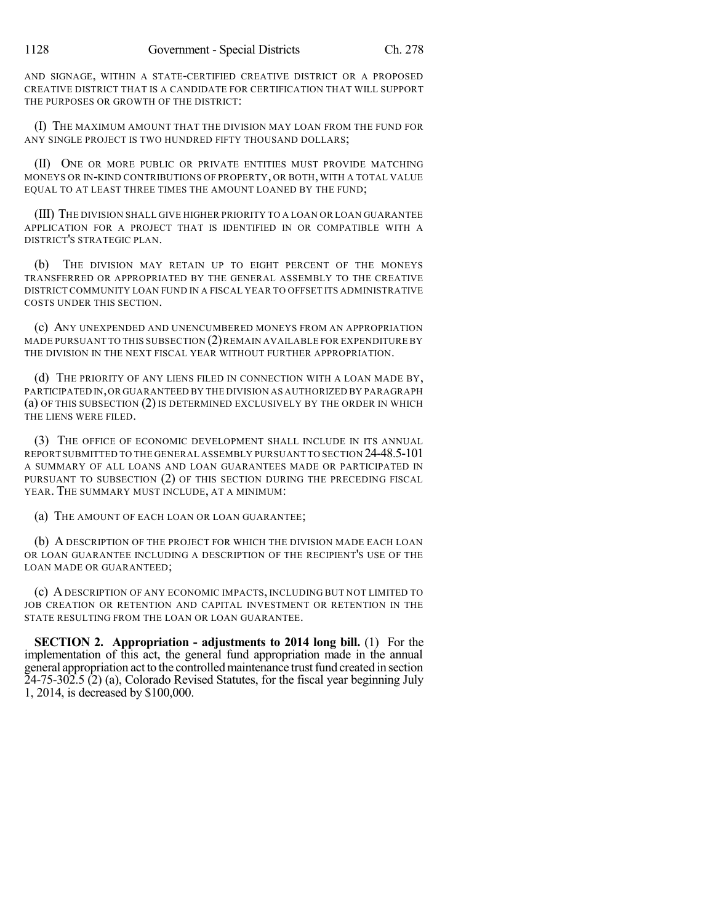AND SIGNAGE, WITHIN A STATE-CERTIFIED CREATIVE DISTRICT OR A PROPOSED CREATIVE DISTRICT THAT IS A CANDIDATE FOR CERTIFICATION THAT WILL SUPPORT THE PURPOSES OR GROWTH OF THE DISTRICT:

(I) THE MAXIMUM AMOUNT THAT THE DIVISION MAY LOAN FROM THE FUND FOR ANY SINGLE PROJECT IS TWO HUNDRED FIFTY THOUSAND DOLLARS;

(II) ONE OR MORE PUBLIC OR PRIVATE ENTITIES MUST PROVIDE MATCHING MONEYS OR IN-KIND CONTRIBUTIONS OF PROPERTY, OR BOTH, WITH A TOTAL VALUE EQUAL TO AT LEAST THREE TIMES THE AMOUNT LOANED BY THE FUND;

(III) THE DIVISION SHALL GIVE HIGHER PRIORITY TO A LOAN OR LOAN GUARANTEE APPLICATION FOR A PROJECT THAT IS IDENTIFIED IN OR COMPATIBLE WITH A DISTRICT'S STRATEGIC PLAN.

(b) THE DIVISION MAY RETAIN UP TO EIGHT PERCENT OF THE MONEYS TRANSFERRED OR APPROPRIATED BY THE GENERAL ASSEMBLY TO THE CREATIVE DISTRICT COMMUNITY LOAN FUND IN A FISCAL YEAR TO OFFSET ITS ADMINISTRATIVE COSTS UNDER THIS SECTION.

(c) ANY UNEXPENDED AND UNENCUMBERED MONEYS FROM AN APPROPRIATION MADE PURSUANT TO THIS SUBSECTION  $(2)$  REMAIN AVAILABLE FOR EXPENDITURE BY THE DIVISION IN THE NEXT FISCAL YEAR WITHOUT FURTHER APPROPRIATION.

(d) THE PRIORITY OF ANY LIENS FILED IN CONNECTION WITH A LOAN MADE BY, PARTICIPATED IN,OR GUARANTEED BY THE DIVISION AS AUTHORIZED BY PARAGRAPH (a) OF THIS SUBSECTION (2) IS DETERMINED EXCLUSIVELY BY THE ORDER IN WHICH THE LIENS WERE FILED.

(3) THE OFFICE OF ECONOMIC DEVELOPMENT SHALL INCLUDE IN ITS ANNUAL REPORT SUBMITTED TO THE GENERAL ASSEMBLY PURSUANT TO SECTION 24-48.5-101 A SUMMARY OF ALL LOANS AND LOAN GUARANTEES MADE OR PARTICIPATED IN PURSUANT TO SUBSECTION (2) OF THIS SECTION DURING THE PRECEDING FISCAL YEAR. THE SUMMARY MUST INCLUDE, AT A MINIMUM:

(a) THE AMOUNT OF EACH LOAN OR LOAN GUARANTEE;

(b) A DESCRIPTION OF THE PROJECT FOR WHICH THE DIVISION MADE EACH LOAN OR LOAN GUARANTEE INCLUDING A DESCRIPTION OF THE RECIPIENT'S USE OF THE LOAN MADE OR GUARANTEED;

(c) ADESCRIPTION OF ANY ECONOMIC IMPACTS, INCLUDING BUT NOT LIMITED TO JOB CREATION OR RETENTION AND CAPITAL INVESTMENT OR RETENTION IN THE STATE RESULTING FROM THE LOAN OR LOAN GUARANTEE.

**SECTION 2. Appropriation - adjustments to 2014 long bill.** (1) For the implementation of this act, the general fund appropriation made in the annual general appropriation act to the controlled maintenance trust fund created in section 24-75-302.5 (2) (a), Colorado Revised Statutes, for the fiscal year beginning July 1, 2014, is decreased by \$100,000.